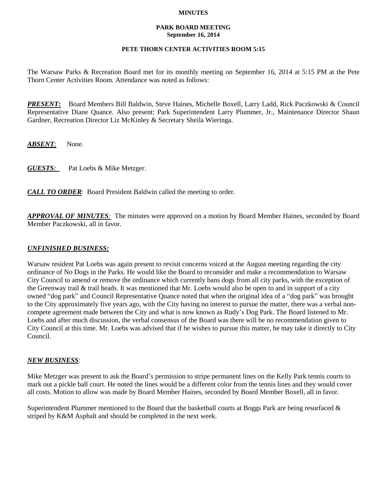### **MINUTES**

#### **PARK BOARD MEETING September 16, 2014**

# **PETE THORN CENTER ACTIVITIES ROOM 5:15**

The Warsaw Parks & Recreation Board met for its monthly meeting on September 16, 2014 at 5:15 PM at the Pete Thorn Center Activities Room. Attendance was noted as follows:

*PRESENT***:** Board Members Bill Baldwin, Steve Haines, Michelle Boxell, Larry Ladd, Rick Paczkowski & Council Representative Diane Quance. Also present: Park Superintendent Larry Plummer, Jr., Maintenance Director Shaun Gardner, Recreation Director Liz McKinley & Secretary Sheila Wieringa.

*ABSENT*: None.

*GUESTS:*Pat Loebs & Mike Metzger.

*CALL TO ORDER*: Board President Baldwin called the meeting to order.

*APPROVAL OF MINUTES:* The minutes were approved on a motion by Board Member Haines, seconded by Board Member Paczkowski, all in favor.

## *UNFINISHED BUSINESS:*

Warsaw resident Pat Loebs was again present to revisit concerns voiced at the August meeting regarding the city ordinance of No Dogs in the Parks. He would like the Board to reconsider and make a recommendation to Warsaw City Council to amend or remove the ordinance which currently bans dogs from all city parks, with the exception of the Greenway trail & trail heads. It was mentioned that Mr. Loebs would also be open to and in support of a city owned "dog park" and Council Representative Quance noted that when the original idea of a "dog park" was brought to the City approximately five years ago, with the City having no interest to pursue the matter, there was a verbal noncompete agreement made between the City and what is now known as Rudy's Dog Park. The Board listened to Mr. Loebs and after much discussion, the verbal consensus of the Board was there will be no recommendation given to City Council at this time. Mr. Loebs was advised that if he wishes to pursue this matter, he may take it directly to City Council.

## *NEW BUSINESS*:

Mike Metzger was present to ask the Board's permission to stripe permanent lines on the Kelly Park tennis courts to mark out a pickle ball court. He noted the lines would be a different color from the tennis lines and they would cover all costs. Motion to allow was made by Board Member Haines, seconded by Board Member Boxell, all in favor.

Superintendent Plummer mentioned to the Board that the basketball courts at Boggs Park are being resurfaced & striped by K&M Asphalt and should be completed in the next week.